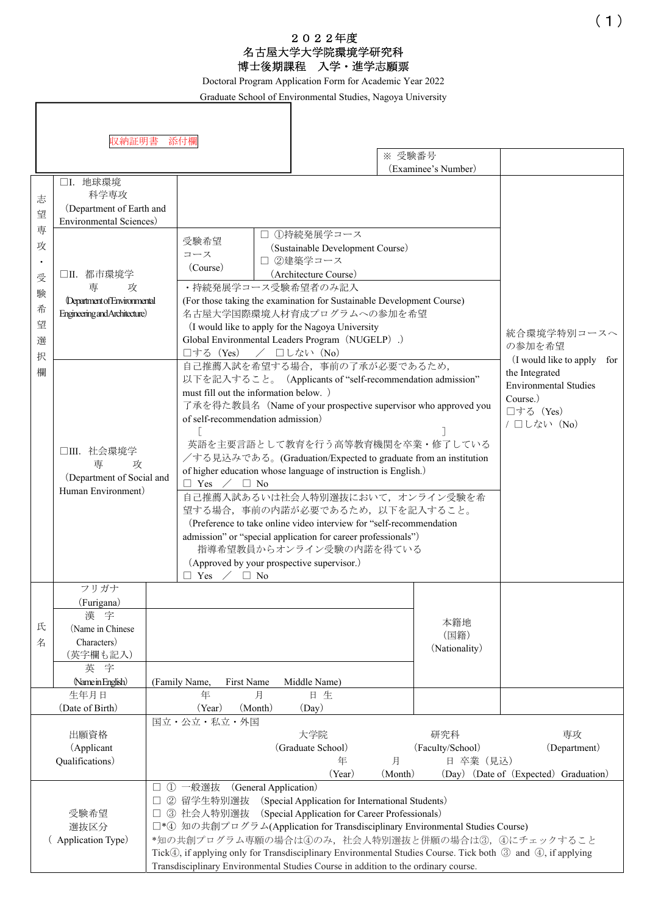## 2022年度 名古屋大学大学院環境学研究科 博士後期課程 入学・進学志願票

Doctoral Program Application Form for Academic Year 2022

Graduate School of Environmental Studies, Nagoya University

|                                                   | 収納証明書 添付欄                                                                                               |          |                                                                                                                                                                                                                                                                                                                                                                                                                                                                                                                                                                                                                                                                                                                                                                                                                  |  |                                                                                                    | ※ 受験番号       |                                                                               |                                                                                                                                                                  |
|---------------------------------------------------|---------------------------------------------------------------------------------------------------------|----------|------------------------------------------------------------------------------------------------------------------------------------------------------------------------------------------------------------------------------------------------------------------------------------------------------------------------------------------------------------------------------------------------------------------------------------------------------------------------------------------------------------------------------------------------------------------------------------------------------------------------------------------------------------------------------------------------------------------------------------------------------------------------------------------------------------------|--|----------------------------------------------------------------------------------------------------|--------------|-------------------------------------------------------------------------------|------------------------------------------------------------------------------------------------------------------------------------------------------------------|
| 志<br>望                                            | (Examinee's Number)<br>□I. 地球環境<br>科学専攻<br>(Department of Earth and<br>Environmental Sciences)          |          |                                                                                                                                                                                                                                                                                                                                                                                                                                                                                                                                                                                                                                                                                                                                                                                                                  |  |                                                                                                    |              |                                                                               |                                                                                                                                                                  |
| 専<br>攻<br>$\bullet$<br>受<br>験<br>希<br>望<br>選<br>択 | □II. 都市環境学<br>専<br>攻<br><b>Department of Environmental</b><br>Engineering and Architecture)             |          | □ ①持続発展学コース<br>受験希望<br>(Sustainable Development Course)<br>コース<br>□ 2建築学コース<br>(Course)<br>(Architecture Course)<br>・持続発展学コース受験希望者のみ記入<br>(For those taking the examination for Sustainable Development Course)<br>名古屋大学国際環境人材育成プログラムへの参加を希望<br>(I would like to apply for the Nagoya University<br>Global Environmental Leaders Program (NUGELP).)<br>/ □しない (No)<br>□する (Yes)                                                                                                                                                                                                                                                                                                                                                                                                                                  |  |                                                                                                    |              | 統合環境学特別コースへ<br>の参加を希望                                                         |                                                                                                                                                                  |
| 欄                                                 | □III.社会環境学<br>車<br>攻<br>(Department of Social and<br>Human Environment)                                 |          | 自己推薦入試を希望する場合、事前の了承が必要であるため,<br>the Integrated<br>以下を記入すること。 (Applicants of "self-recommendation admission"<br>must fill out the information below. )<br>Course.)<br>了承を得た教員名 (Name of your prospective supervisor who approved you<br>□する (Yes)<br>of self-recommendation admission)<br>英語を主要言語として教育を行う高等教育機関を卒業・修了している<br>/する見込みである。(Graduation/Expected to graduate from an institution<br>of higher education whose language of instruction is English.)<br>$\Box$ Yes $\angle$ $\Box$ No<br>自己推薦入試あるいは社会人特別選抜において、オンライン受験を希<br>望する場合、事前の内諾が必要であるため、以下を記入すること。<br>(Preference to take online video interview for "self-recommendation")<br>admission" or "special application for career professionals")<br>指導希望教員からオンライン受験の内諾を得ている<br>(Approved by your prospective supervisor.)<br>$\Box$ No<br>$\Box$ Yes |  |                                                                                                    |              |                                                                               | (I would like to apply for<br><b>Environmental Studies</b><br>/ □しない (No)                                                                                        |
| 氏<br>名                                            | フリガナ<br>(Furigana)<br>漢<br>宇<br>(Name in Chinese<br>Characters)<br>(英字欄も記入)<br>英 字<br>(Name in English) |          | (Family Name,<br>First Name                                                                                                                                                                                                                                                                                                                                                                                                                                                                                                                                                                                                                                                                                                                                                                                      |  | Middle Name)                                                                                       |              | 本籍地<br>(国籍)<br>(Nationality)                                                  |                                                                                                                                                                  |
|                                                   | 生年月日<br>(Date of Birth)                                                                                 |          | 年<br>月<br>(Year)<br>(Month)                                                                                                                                                                                                                                                                                                                                                                                                                                                                                                                                                                                                                                                                                                                                                                                      |  | 日生<br>(Day)                                                                                        |              |                                                                               |                                                                                                                                                                  |
| 出願資格<br>(Applicant<br>Qualifications)             |                                                                                                         |          | 国立・公立・私立・外国                                                                                                                                                                                                                                                                                                                                                                                                                                                                                                                                                                                                                                                                                                                                                                                                      |  | 大学院<br>(Graduate School)<br>年<br>(Year)                                                            | 月<br>(Month) | 研究科<br>(Faculty/School)<br>日 卒業(見込)                                           | 専攻<br>(Department)<br>(Day) (Date of (Expected) Graduation)                                                                                                      |
|                                                   | 受験希望<br>選抜区分<br>(Application Type)                                                                      | $\Omega$ | 一般選抜<br>(General Application)<br>② 留学生特別選抜<br>3 社会人特別選抜<br>Transdisciplinary Environmental Studies Course in addition to the ordinary course.                                                                                                                                                                                                                                                                                                                                                                                                                                                                                                                                                                                                                                                                    |  | (Special Application for International Students)<br>(Special Application for Career Professionals) |              | □*4 知の共創プログラム(Application for Transdisciplinary Environmental Studies Course) | *知の共創プログラム専願の場合は4のみ,社会人特別選抜と併願の場合は③,4)にチェックすること<br>Tick(4), if applying only for Transdisciplinary Environmental Studies Course. Tick both 3 and 4), if applying |